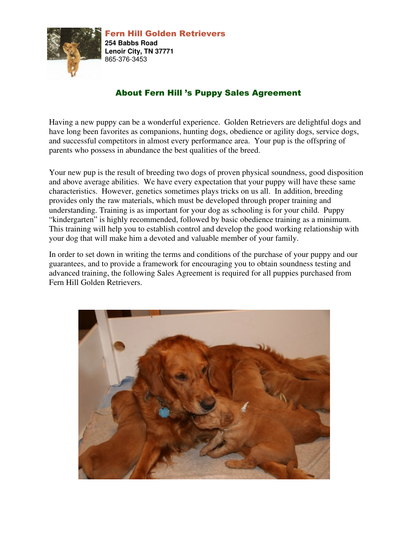

## About Fern Hill 's Puppy Sales Agreement

Having a new puppy can be a wonderful experience. Golden Retrievers are delightful dogs and have long been favorites as companions, hunting dogs, obedience or agility dogs, service dogs, and successful competitors in almost every performance area. Your pup is the offspring of parents who possess in abundance the best qualities of the breed.

Your new pup is the result of breeding two dogs of proven physical soundness, good disposition and above average abilities. We have every expectation that your puppy will have these same characteristics. However, genetics sometimes plays tricks on us all. In addition, breeding provides only the raw materials, which must be developed through proper training and understanding. Training is as important for your dog as schooling is for your child. Puppy "kindergarten" is highly recommended, followed by basic obedience training as a minimum. This training will help you to establish control and develop the good working relationship with your dog that will make him a devoted and valuable member of your family.

In order to set down in writing the terms and conditions of the purchase of your puppy and our guarantees, and to provide a framework for encouraging you to obtain soundness testing and advanced training, the following Sales Agreement is required for all puppies purchased from Fern Hill Golden Retrievers.

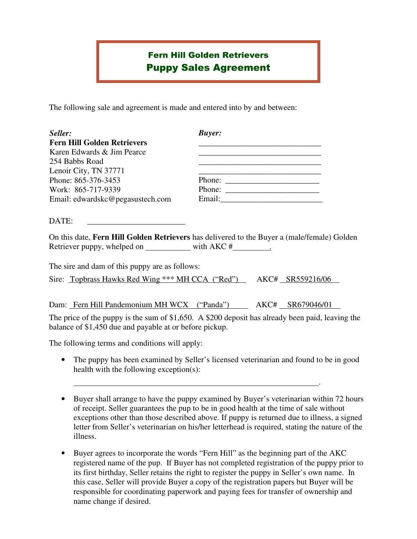## Fern Hill Golden Retrievers Puppy Sales Agreement

The following sale and agreement is made and entered into by and between:

| Seller:                            | <b>Buyer:</b> |
|------------------------------------|---------------|
| <b>Fern Hill Golden Retrievers</b> |               |
| Karen Edwards & Jim Pearce         |               |
| 254 Babbs Road                     |               |
| Lenoir City, TN 37771              |               |
| Phone: 865-376-3453                | Phone:        |
| Work: 865-717-9339                 | Phone:        |
| Email: edwardskc@pegasustech.com   | Email:        |

 $\text{DATE:}$ 

On this date, **Fern Hill Golden Retrievers** has delivered to the Buyer a (male/female) Golden Retriever puppy, whelped on with AKC # .

The sire and dam of this puppy are as follows: Sire: Topbrass Hawks Red Wing \*\*\* MH CCA ("Red") AKC# SR559216/06

Dam: Fern Hill Pandemonium MH WCX ("Panda") AKC# SR679046/01

The price of the puppy is the sum of \$1,650. A \$200 deposit has already been paid, leaving the balance of \$1,450 due and payable at or before pickup.

The following terms and conditions will apply:

• The puppy has been examined by Seller's licensed veterinarian and found to be in good health with the following exception(s):

.

- Buyer shall arrange to have the puppy examined by Buyer's veterinarian within 72 hours of receipt. Seller guarantees the pup to be in good health at the time of sale without exceptions other than those described above. If puppy is returned due to illness, a signed letter from Seller's veterinarian on his/her letterhead is required, stating the nature of the illness.
- Buyer agrees to incorporate the words "Fern Hill" as the beginning part of the AKC registered name of the pup. If Buyer has not completed registration of the puppy prior to its first birthday, Seller retains the right to register the puppy in Seller's own name. In this case, Seller will provide Buyer a copy of the registration papers but Buyer will be responsible for coordinating paperwork and paying fees for transfer of ownership and name change if desired.